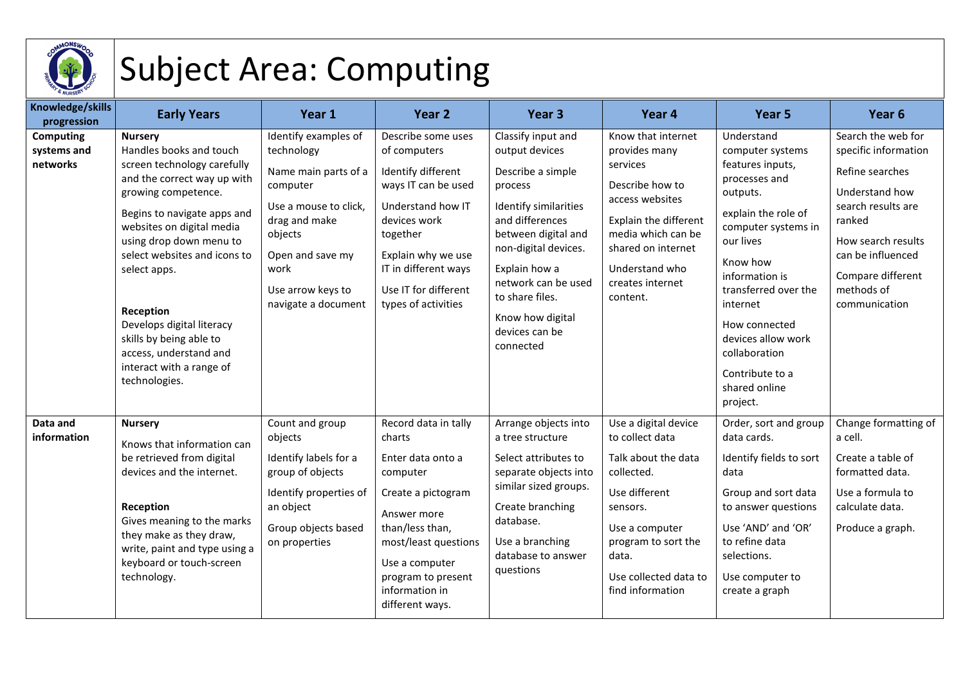

## Subject Area: Computing

| Knowledge/skills<br>progression             | <b>Early Years</b>                                                                                                                                                                                                                                                                                                                                                                                                | Year 1                                                                                                                                                                                              | Year <sub>2</sub>                                                                                                                                                                                                             | Year <sub>3</sub>                                                                                                                                                                                                                                                                    | Year 4                                                                                                                                                                                                       | Year 5                                                                                                                                                                                                                                                                                                               | Year <sub>6</sub>                                                                                                                                                                                              |
|---------------------------------------------|-------------------------------------------------------------------------------------------------------------------------------------------------------------------------------------------------------------------------------------------------------------------------------------------------------------------------------------------------------------------------------------------------------------------|-----------------------------------------------------------------------------------------------------------------------------------------------------------------------------------------------------|-------------------------------------------------------------------------------------------------------------------------------------------------------------------------------------------------------------------------------|--------------------------------------------------------------------------------------------------------------------------------------------------------------------------------------------------------------------------------------------------------------------------------------|--------------------------------------------------------------------------------------------------------------------------------------------------------------------------------------------------------------|----------------------------------------------------------------------------------------------------------------------------------------------------------------------------------------------------------------------------------------------------------------------------------------------------------------------|----------------------------------------------------------------------------------------------------------------------------------------------------------------------------------------------------------------|
| <b>Computing</b><br>systems and<br>networks | <b>Nursery</b><br>Handles books and touch<br>screen technology carefully<br>and the correct way up with<br>growing competence.<br>Begins to navigate apps and<br>websites on digital media<br>using drop down menu to<br>select websites and icons to<br>select apps.<br>Reception<br>Develops digital literacy<br>skills by being able to<br>access, understand and<br>interact with a range of<br>technologies. | Identify examples of<br>technology<br>Name main parts of a<br>computer<br>Use a mouse to click,<br>drag and make<br>objects<br>Open and save my<br>work<br>Use arrow keys to<br>navigate a document | Describe some uses<br>of computers<br>Identify different<br>ways IT can be used<br>Understand how IT<br>devices work<br>together<br>Explain why we use<br>IT in different ways<br>Use IT for different<br>types of activities | Classify input and<br>output devices<br>Describe a simple<br>process<br><b>Identify similarities</b><br>and differences<br>between digital and<br>non-digital devices.<br>Explain how a<br>network can be used<br>to share files.<br>Know how digital<br>devices can be<br>connected | Know that internet<br>provides many<br>services<br>Describe how to<br>access websites<br>Explain the different<br>media which can be<br>shared on internet<br>Understand who<br>creates internet<br>content. | Understand<br>computer systems<br>features inputs,<br>processes and<br>outputs.<br>explain the role of<br>computer systems in<br>our lives<br>Know how<br>information is<br>transferred over the<br>internet<br>How connected<br>devices allow work<br>collaboration<br>Contribute to a<br>shared online<br>project. | Search the web for<br>specific information<br>Refine searches<br>Understand how<br>search results are<br>ranked<br>How search results<br>can be influenced<br>Compare different<br>methods of<br>communication |
| Data and<br>information                     | <b>Nursery</b><br>Knows that information can<br>be retrieved from digital<br>devices and the internet.<br>Reception<br>Gives meaning to the marks<br>they make as they draw,<br>write, paint and type using a<br>keyboard or touch-screen<br>technology.                                                                                                                                                          | Count and group<br>objects<br>Identify labels for a<br>group of objects<br>Identify properties of<br>an object<br>Group objects based<br>on properties                                              | Record data in tally<br>charts<br>Enter data onto a<br>computer<br>Create a pictogram<br>Answer more<br>than/less than,<br>most/least questions<br>Use a computer<br>program to present<br>information in<br>different ways.  | Arrange objects into<br>a tree structure<br>Select attributes to<br>separate objects into<br>similar sized groups.<br>Create branching<br>database.<br>Use a branching<br>database to answer<br>questions                                                                            | Use a digital device<br>to collect data<br>Talk about the data<br>collected.<br>Use different<br>sensors.<br>Use a computer<br>program to sort the<br>data.<br>Use collected data to<br>find information     | Order, sort and group<br>data cards.<br>Identify fields to sort<br>data<br>Group and sort data<br>to answer questions<br>Use 'AND' and 'OR'<br>to refine data<br>selections.<br>Use computer to<br>create a graph                                                                                                    | Change formatting of<br>a cell.<br>Create a table of<br>formatted data.<br>Use a formula to<br>calculate data.<br>Produce a graph.                                                                             |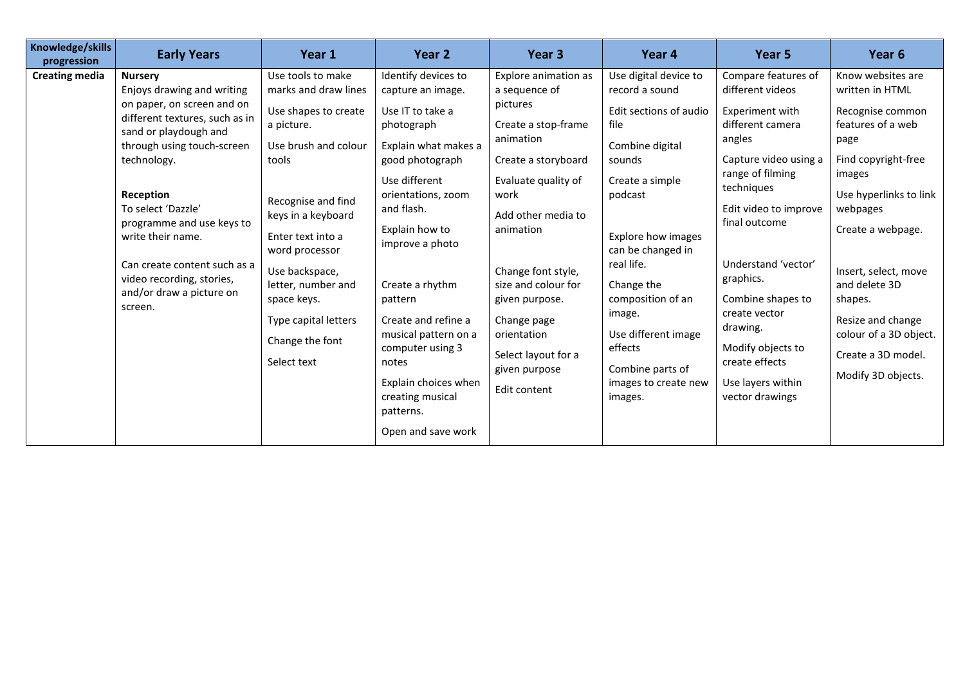| Knowledge/skills<br>progression | <b>Early Years</b>                                                                                                                                                                                                                                                                                                                                                          | Year 1                                                                                                                                                                                                                                                                                                               | Year 2                                                                                                                                                                                                                                                                                                                                                                                                   | Year 3                                                                                                                                                                                                                                                                                                                              | Year 4                                                                                                                                                                                                                                                                                                                              | Year 5                                                                                                                                                                                                                                                                                                                                                             | Year 6                                                                                                                                                                                                                                                                                                                           |
|---------------------------------|-----------------------------------------------------------------------------------------------------------------------------------------------------------------------------------------------------------------------------------------------------------------------------------------------------------------------------------------------------------------------------|----------------------------------------------------------------------------------------------------------------------------------------------------------------------------------------------------------------------------------------------------------------------------------------------------------------------|----------------------------------------------------------------------------------------------------------------------------------------------------------------------------------------------------------------------------------------------------------------------------------------------------------------------------------------------------------------------------------------------------------|-------------------------------------------------------------------------------------------------------------------------------------------------------------------------------------------------------------------------------------------------------------------------------------------------------------------------------------|-------------------------------------------------------------------------------------------------------------------------------------------------------------------------------------------------------------------------------------------------------------------------------------------------------------------------------------|--------------------------------------------------------------------------------------------------------------------------------------------------------------------------------------------------------------------------------------------------------------------------------------------------------------------------------------------------------------------|----------------------------------------------------------------------------------------------------------------------------------------------------------------------------------------------------------------------------------------------------------------------------------------------------------------------------------|
| <b>Creating media</b>           | <b>Nursery</b><br>Enjoys drawing and writing<br>on paper, on screen and on<br>different textures, such as in<br>sand or playdough and<br>through using touch-screen<br>technology.<br>Reception<br>To select 'Dazzle'<br>programme and use keys to<br>write their name.<br>Can create content such as a<br>video recording, stories,<br>and/or draw a picture on<br>screen. | Use tools to make<br>marks and draw lines<br>Use shapes to create<br>a picture.<br>Use brush and colour<br>tools<br>Recognise and find<br>keys in a keyboard<br>Enter text into a<br>word processor<br>Use backspace,<br>letter, number and<br>space keys.<br>Type capital letters<br>Change the font<br>Select text | Identify devices to<br>capture an image.<br>Use IT to take a<br>photograph<br>Explain what makes a<br>good photograph<br>Use different<br>orientations, zoom<br>and flash.<br>Explain how to<br>improve a photo<br>Create a rhythm<br>pattern<br>Create and refine a<br>musical pattern on a<br>computer using 3<br>notes<br>Explain choices when<br>creating musical<br>patterns.<br>Open and save work | Explore animation as<br>a sequence of<br>pictures<br>Create a stop-frame<br>animation<br>Create a storyboard<br>Evaluate quality of<br>work<br>Add other media to<br>animation<br>Change font style,<br>size and colour for<br>given purpose.<br>Change page<br>orientation<br>Select layout for a<br>given purpose<br>Edit content | Use digital device to<br>record a sound<br>Edit sections of audio<br>file<br>Combine digital<br>sounds<br>Create a simple<br>podcast<br>Explore how images<br>can be changed in<br>real life.<br>Change the<br>composition of an<br>image.<br>Use different image<br>effects<br>Combine parts of<br>images to create new<br>images. | Compare features of<br>different videos<br>Experiment with<br>different camera<br>angles<br>Capture video using a<br>range of filming<br>techniques<br>Edit video to improve<br>final outcome<br>Understand 'vector'<br>graphics.<br>Combine shapes to<br>create vector<br>drawing.<br>Modify objects to<br>create effects<br>Use layers within<br>vector drawings | Know websites are<br>written in HTML<br>Recognise common<br>features of a web<br>page<br>Find copyright-free<br>images<br>Use hyperlinks to link<br>webpages<br>Create a webpage.<br>Insert, select, move<br>and delete 3D<br>shapes.<br>Resize and change<br>colour of a 3D object.<br>Create a 3D model.<br>Modify 3D objects. |